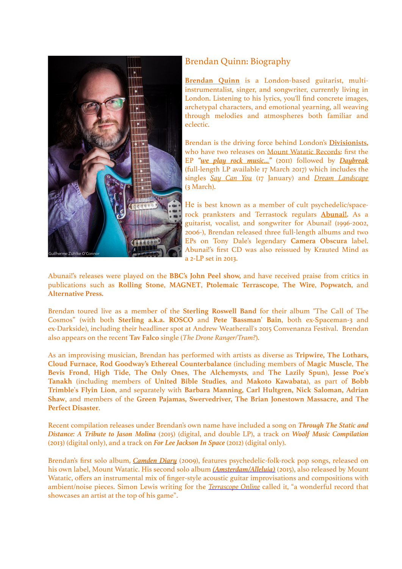

## Brendan Quinn: Biography

**[Brendan Quinn](http://beq00000.bandcamp.com/)** is a London-based guitarist, multiinstrumentalist, singer, and songwriter, currently living in London. Listening to his lyrics, you'll find concrete images, archetypal characters, and emotional yearning, all weaving through melodies and atmospheres both familiar and eclectic.

Brendan is the driving force behind London's **[Divisionists](http://www.divisionists.co.uk/),** who have two releases on [Mount Watatic Records:](http://www.mountwatatic.co.uk/) first the EP *["we play rock music…"](https://divisionists.bandcamp.com/album/we-play-rock-music)* (2011) followed by *[Daybreak](https://divisionists.bandcamp.com/)* (full-length LP available 17 March 2017) which includes the singles *[Say Can You](https://divisionists.bandcamp.com/track/say-can-you)* (17 January) and *[Dream Landscape](https://divisionists.bandcamp.com/track/dream-landscape)* (3 March).

He is best known as a member of cult psychedelic/spacerock pranksters and Terrastock regulars **[Abunai!.](http://abunai.bandcamp.com/)** As a guitarist, vocalist, and songwriter for Abunai! (1996-2002, 2006-), Brendan released three full-length albums and two EPs on Tony Dale's legendary **Camera Obscura** label. Abunai!'s first CD was also reissued by Krauted Mind as a 2-LP set in 2013.

Abunai!'s releases were played on the **BBC's John Peel show,** and have received praise from critics in publications such as **Rolling Stone**, **MAGNET**, **Ptolemaic Terrascope**, **The Wire**, **Popwatch**, and **Alternative Press.** 

Brendan toured live as a member of the **Sterling Roswell Band** for their album "The Call of The Cosmos" (with both **Sterling a.k.a. ROSCO** and **Pete 'Bassman' Bain**, both ex-Spaceman-3 and ex-Darkside), including their headliner spot at Andrew Weatherall's 2015 Convenanza Festival. Brendan also appears on the recent **Tav Falco** single (*The Drone Ranger/Tram?*).

As an improvising musician, Brendan has performed with artists as diverse as **Tripwire, The Lothars, Cloud Furnace, Rod Goodway's Ethereal Counterbalance** (including members of **Magic Muscle**, **The Bevis Frond**, **High Tide**, **The Only Ones**, **The Alchemysts**, and **The Lazily Spun**), **Jesse Poe's Tanakh** (including members of **United Bible Studies**, and **Makoto Kawabata**), as part of **Bobb Trimble's Flyin Lion**, and separately with **Barbara Manning, Carl Hultgren, Nick Saloman, Adrian Shaw**, and members of the **Green Pajamas, Swervedriver, The Brian Jonestown Massacre, and The Perfect Disaster**.

Recent compilation releases under Brendan's own name have included a song on *Through The Static and Distance: A Tribute to Jason Molina* (2015) (digital, and double LP), a track on *Woolf Music Compilation* (2013) (digital only), and a track on *For Lee Jackson In Space* (2012) (digital only).

Brendan's first solo album, *[Camden Diary](https://beq00000.bandcamp.com/album/camden-diary)* (2009), features psychedelic-folk-rock pop songs, released on his own label, Mount Watatic. His second solo album *[\(Amsterdam/Alleluia\)](https://beq00000.bandcamp.com/album/amsterdam-alleluia)* (2015), also released by Mount Watatic, offers an instrumental mix of finger-style acoustic guitar improvisations and compositions with ambient/noise pieces. Simon Lewis writing for the *[Terrascope Online](http://www.terrascope.co.uk/Reviews/Reviews_June_15.htm#BrQuinn)* called it, "a wonderful record that showcases an artist at the top of his game".